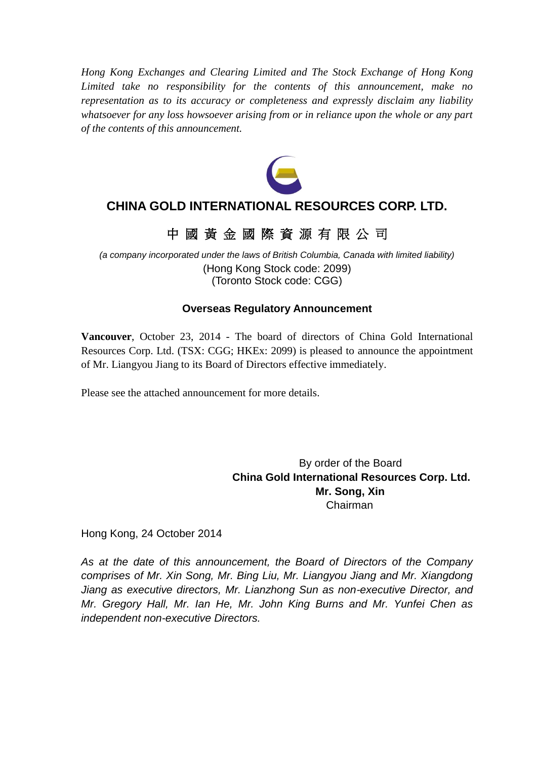*Hong Kong Exchanges and Clearing Limited and The Stock Exchange of Hong Kong Limited take no responsibility for the contents of this announcement, make no representation as to its accuracy or completeness and expressly disclaim any liability whatsoever for any loss howsoever arising from or in reliance upon the whole or any part of the contents of this announcement.*



## **CHINA GOLD INTERNATIONAL RESOURCES CORP. LTD.**

## 中 國 黃 金 國 際 資 源 有 限 公 司

*(a company incorporated under the laws of British Columbia, Canada with limited liability)* (Hong Kong Stock code: 2099) (Toronto Stock code: CGG)

### **Overseas Regulatory Announcement**

**Vancouver**, October 23, 2014 - The board of directors of China Gold International Resources Corp. Ltd. (TSX: CGG; HKEx: 2099) is pleased to announce the appointment of Mr. Liangyou Jiang to its Board of Directors effective immediately.

Please see the attached announcement for more details.

By order of the Board **China Gold International Resources Corp. Ltd. Mr. Song, Xin** Chairman

Hong Kong, 24 October 2014

*As at the date of this announcement, the Board of Directors of the Company comprises of Mr. Xin Song, Mr. Bing Liu, Mr. Liangyou Jiang and Mr. Xiangdong Jiang as executive directors, Mr. Lianzhong Sun as non-executive Director, and Mr. Gregory Hall, Mr. Ian He, Mr. John King Burns and Mr. Yunfei Chen as independent non-executive Directors.*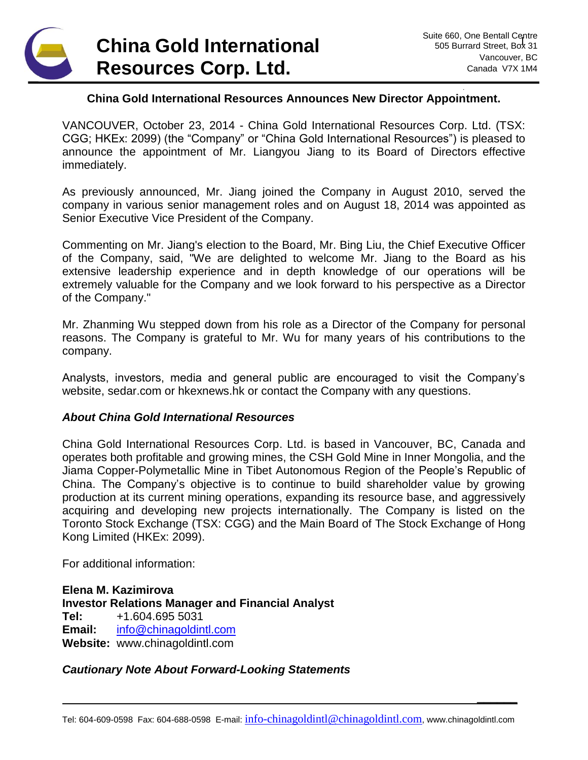

**\_\_\_\_\_\_**

#### **China Gold International Resources Announces New Director Appointment.**

VANCOUVER, October 23, 2014 - China Gold International Resources Corp. Ltd. (TSX: CGG; HKEx: 2099) (the "Company" or "China Gold International Resources") is pleased to announce the appointment of Mr. Liangyou Jiang to its Board of Directors effective immediately.

As previously announced, Mr. Jiang joined the Company in August 2010, served the company in various senior management roles and on August 18, 2014 was appointed as Senior Executive Vice President of the Company.

Commenting on Mr. Jiang's election to the Board, Mr. Bing Liu, the Chief Executive Officer of the Company, said, "We are delighted to welcome Mr. Jiang to the Board as his extensive leadership experience and in depth knowledge of our operations will be extremely valuable for the Company and we look forward to his perspective as a Director of the Company."

Mr. Zhanming Wu stepped down from his role as a Director of the Company for personal reasons. The Company is grateful to Mr. Wu for many years of his contributions to the company.

Analysts, investors, media and general public are encouraged to visit the Company's website, sedar.com or hkexnews.hk or contact the Company with any questions.

#### *About China Gold International Resources*

China Gold International Resources Corp. Ltd. is based in Vancouver, BC, Canada and operates both profitable and growing mines, the CSH Gold Mine in Inner Mongolia, and the Jiama Copper-Polymetallic Mine in Tibet Autonomous Region of the People's Republic of China. The Company's objective is to continue to build shareholder value by growing production at its current mining operations, expanding its resource base, and aggressively acquiring and developing new projects internationally. The Company is listed on the Toronto Stock Exchange (TSX: CGG) and the Main Board of The Stock Exchange of Hong Kong Limited (HKEx: 2099).

For additional information:

**Elena M. Kazimirova Investor Relations Manager and Financial Analyst Tel:** +1.604.695 5031 **Email:** [info@chinagoldintl.com](mailto:info@chinagoldintl.com) **Website:** www.chinagoldintl.com

#### *Cautionary Note About Forward-Looking Statements*